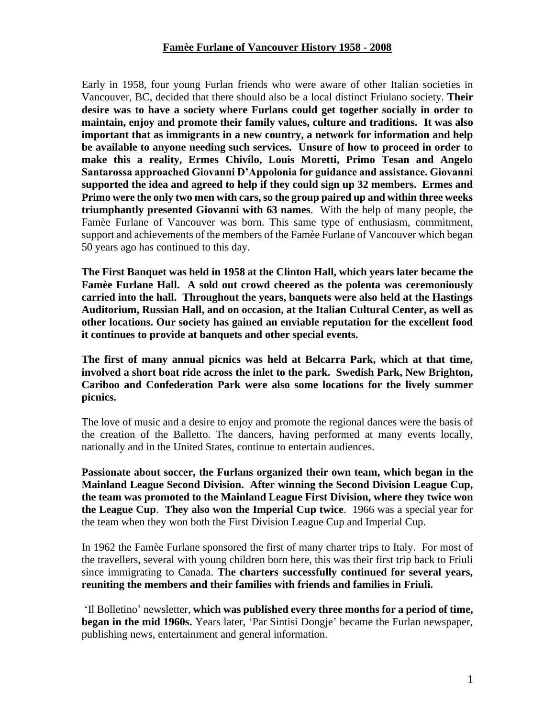## **Famèe Furlane of Vancouver History 1958 - 2008**

Early in 1958, four young Furlan friends who were aware of other Italian societies in Vancouver, BC, decided that there should also be a local distinct Friulano society. **Their desire was to have a society where Furlans could get together socially in order to maintain, enjoy and promote their family values, culture and traditions. It was also important that as immigrants in a new country, a network for information and help be available to anyone needing such services. Unsure of how to proceed in order to make this a reality, Ermes Chivilo, Louis Moretti, Primo Tesan and Angelo Santarossa approached Giovanni D'Appolonia for guidance and assistance. Giovanni supported the idea and agreed to help if they could sign up 32 members. Ermes and Primo were the only two men with cars, so the group paired up and within three weeks triumphantly presented Giovanni with 63 names**. With the help of many people, the Famèe Furlane of Vancouver was born. This same type of enthusiasm, commitment, support and achievements of the members of the Famèe Furlane of Vancouver which began 50 years ago has continued to this day.

**The First Banquet was held in 1958 at the Clinton Hall, which years later became the Famèe Furlane Hall. A sold out crowd cheered as the polenta was ceremoniously carried into the hall. Throughout the years, banquets were also held at the Hastings Auditorium, Russian Hall, and on occasion, at the Italian Cultural Center, as well as other locations. Our society has gained an enviable reputation for the excellent food it continues to provide at banquets and other special events.**

**The first of many annual picnics was held at Belcarra Park, which at that time, involved a short boat ride across the inlet to the park. Swedish Park, New Brighton, Cariboo and Confederation Park were also some locations for the lively summer picnics.**

The love of music and a desire to enjoy and promote the regional dances were the basis of the creation of the Balletto. The dancers, having performed at many events locally, nationally and in the United States, continue to entertain audiences.

**Passionate about soccer, the Furlans organized their own team, which began in the Mainland League Second Division. After winning the Second Division League Cup, the team was promoted to the Mainland League First Division, where they twice won the League Cup**. **They also won the Imperial Cup twice**. 1966 was a special year for the team when they won both the First Division League Cup and Imperial Cup.

In 1962 the Famèe Furlane sponsored the first of many charter trips to Italy. For most of the travellers, several with young children born here, this was their first trip back to Friuli since immigrating to Canada. **The charters successfully continued for several years, reuniting the members and their families with friends and families in Friuli.**

'Il Bolletino' newsletter, **which was published every three months for a period of time, began in the mid 1960s.** Years later, 'Par Sintisi Dongje' became the Furlan newspaper, publishing news, entertainment and general information.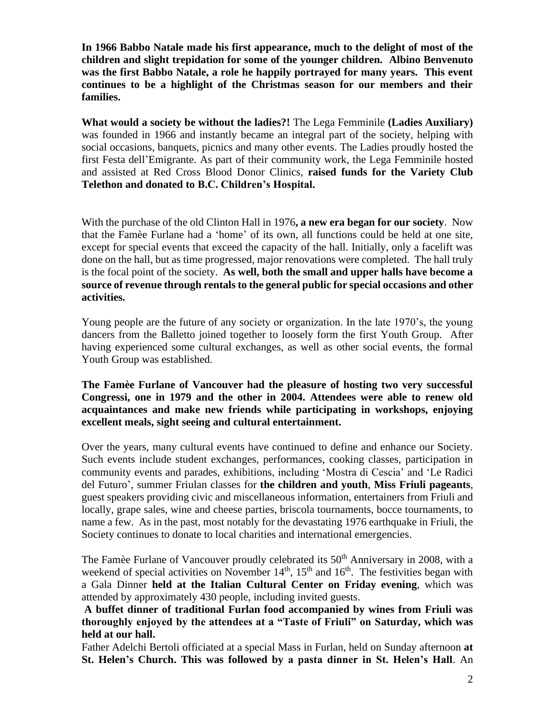**In 1966 Babbo Natale made his first appearance, much to the delight of most of the children and slight trepidation for some of the younger children. Albino Benvenuto was the first Babbo Natale, a role he happily portrayed for many years. This event continues to be a highlight of the Christmas season for our members and their families.**

**What would a society be without the ladies?!** The Lega Femminile **(Ladies Auxiliary)** was founded in 1966 and instantly became an integral part of the society, helping with social occasions, banquets, picnics and many other events. The Ladies proudly hosted the first Festa dell'Emigrante. As part of their community work, the Lega Femminile hosted and assisted at Red Cross Blood Donor Clinics, **raised funds for the Variety Club Telethon and donated to B.C. Children's Hospital.**

With the purchase of the old Clinton Hall in 1976**, a new era began for our society**. Now that the Famèe Furlane had a 'home' of its own, all functions could be held at one site, except for special events that exceed the capacity of the hall. Initially, only a facelift was done on the hall, but as time progressed, major renovations were completed. The hall truly is the focal point of the society. **As well, both the small and upper halls have become a source of revenue through rentals to the general public for special occasions and other activities.**

Young people are the future of any society or organization. In the late 1970's, the young dancers from the Balletto joined together to loosely form the first Youth Group. After having experienced some cultural exchanges, as well as other social events, the formal Youth Group was established.

**The Famèe Furlane of Vancouver had the pleasure of hosting two very successful Congressi, one in 1979 and the other in 2004. Attendees were able to renew old acquaintances and make new friends while participating in workshops, enjoying excellent meals, sight seeing and cultural entertainment.** 

Over the years, many cultural events have continued to define and enhance our Society. Such events include student exchanges, performances, cooking classes, participation in community events and parades, exhibitions, including 'Mostra di Cescia' and 'Le Radici del Futuro', summer Friulan classes for **the children and youth**, **Miss Friuli pageants**, guest speakers providing civic and miscellaneous information, entertainers from Friuli and locally, grape sales, wine and cheese parties, briscola tournaments, bocce tournaments, to name a few. As in the past, most notably for the devastating 1976 earthquake in Friuli, the Society continues to donate to local charities and international emergencies.

The Famèe Furlane of Vancouver proudly celebrated its 50<sup>th</sup> Anniversary in 2008, with a weekend of special activities on November  $14<sup>th</sup>$ ,  $15<sup>th</sup>$  and  $16<sup>th</sup>$ . The festivities began with a Gala Dinner **held at the Italian Cultural Center on Friday evening**, which was attended by approximately 430 people, including invited guests.

**A buffet dinner of traditional Furlan food accompanied by wines from Friuli was thoroughly enjoyed by the attendees at a "Taste of Friuli" on Saturday, which was held at our hall.**

Father Adelchi Bertoli officiated at a special Mass in Furlan, held on Sunday afternoon **at St. Helen's Church. This was followed by a pasta dinner in St. Helen's Hall**. An